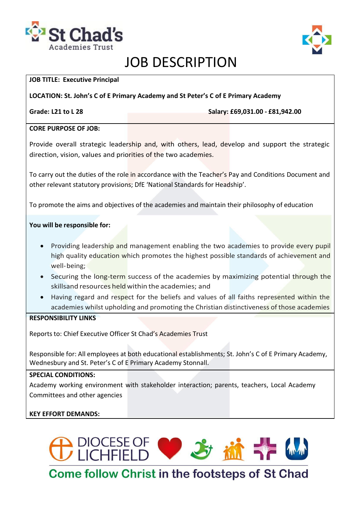



# JOB DESCRIPTION

#### **JOB TITLE: Executive Principal**

**LOCATION: St. John's C of E Primary Academy and St Peter's C of E Primary Academy** 

**Grade: L21 to L 28 Salary: £69,031.00 - £81,942.00**

#### **CORE PURPOSE OF JOB:**

Provide overall strategic leadership and, with others, lead, develop and support the strategic direction, vision, values and priorities of the two academies.

To carry out the duties of the role in accordance with the Teacher's Pay and Conditions Document and other relevant statutory provisions; DfE 'National Standards for Headship'.

To promote the aims and objectives of the academies and maintain their philosophy of education

### **You will be responsible for:**

- Providing leadership and management enabling the two academies to provide every pupil high quality education which promotes the highest possible standards of achievement and well-being;
- Securing the long-term success of the academies by maximizing potential through the skillsand resources held within the academies; and
- Having regard and respect for the beliefs and values of all faiths represented within the academies whilst upholding and promoting the Christian distinctiveness of those academies

#### **RESPONSIBILITY LINKS**

Reports to: Chief Executive Officer St Chad's Academies Trust

Responsible for: All employees at both educational establishments; St. John's C of E Primary Academy, Wednesbury and St. Peter's C of E Primary Academy Stonnall.

### **SPECIAL CONDITIONS:**

Academy working environment with stakeholder interaction; parents, teachers, Local Academy Committees and other agencies

### **KEY EFFORT DEMANDS:**



**Come follow Christ in the footsteps of St Chad**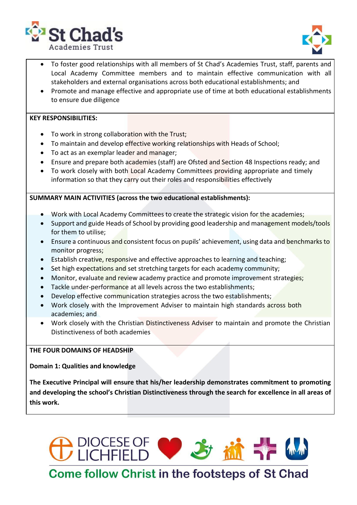



- To foster good relationships with all members of St Chad's Academies Trust, staff, parents and Local Academy Committee members and to maintain effective communication with all stakeholders and external organisations across both educational establishments; and
- Promote and manage effective and appropriate use of time at both educational establishments to ensure due diligence

#### **KEY RESPONSIBILITIES:**

- To work in strong collaboration with the Trust;
- To maintain and develop effective working relationships with Heads of School;
- To act as an exemplar leader and manager;
- Ensure and prepare both academies (staff) are Ofsted and Section 48 Inspections ready; and
- To work closely with both Local Academy Committees providing appropriate and timely information so that they carry out their roles and responsibilities effectively

#### **SUMMARY MAIN ACTIVITIES (across the two educational establishments):**

- Work with Local Academy Committees to create the strategic vision for the academies;
- Support and guide Heads of School by providing good leadership and management models/tools for them to utilise;
- Ensure a continuous and consistent focus on pupils' achievement, using data and benchmarks to monitor progress;
- Establish creative, responsive and effective approaches to learning and teaching;
- Set high expectations and set stretching targets for each academy community;
- Monitor, evaluate and review academy practice and promote improvement strategies;
- Tackle under-performance at all levels across the two establishments;
- Develop effective communication strategies across the two establishments;
- Work closely with the Improvement Adviser to maintain high standards across both academies; and
- Work closely with the Christian Distinctiveness Adviser to maintain and promote the Christian Distinctiveness of both academies

#### **THE FOUR DOMAINS OF HEADSHIP**

**Domain 1: Qualities and knowledge**

**The Executive Principal will ensure that his/her leadership demonstrates commitment to promoting and developing the school's Christian Distinctiveness through the search for excellence in all areas of this work.**



**Come follow Christ in the footsteps of St Chad**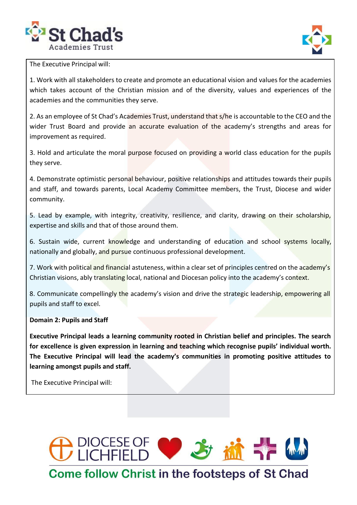



The Executive Principal will:

1. Work with all stakeholders to create and promote an educational vision and values for the academies which takes account of the Christian mission and of the diversity, values and experiences of the academies and the communities they serve.

2. As an employee of St Chad's Academies Trust, understand that s/he is accountable to the CEO and the wider Trust Board and provide an accurate evaluation of the academy's strengths and areas for improvement as required.

3. Hold and articulate the moral purpose focused on providing a world class education for the pupils they serve.

4. Demonstrate optimistic personal behaviour, positive relationships and attitudes towards their pupils and staff, and towards parents, Local Academy Committee members, the Trust, Diocese and wider community.

5. Lead by example, with integrity, creativity, resilience, and clarity, drawing on their scholarship, expertise and skills and that of those around them.

6. Sustain wide, current knowledge and understanding of education and school systems locally, nationally and globally, and pursue continuous professional development.

7. Work with political and financial astuteness, within a clear set of principles centred on the academy's Christian visions, ably translating local, national and Diocesan policy into the academy's context.

8. Communicate compellingly the academy's vision and drive the strategic leadership, empowering all pupils and staff to excel.

#### **Domain 2: Pupils and Staff**

**Executive Principal leads a learning community rooted in Christian belief and principles. The search for excellence is given expression in learning and teaching which recognise pupils' individual worth. The Executive Principal will lead the academy's communities in promoting positive attitudes to learning amongst pupils and staff.**

The Executive Principal will:

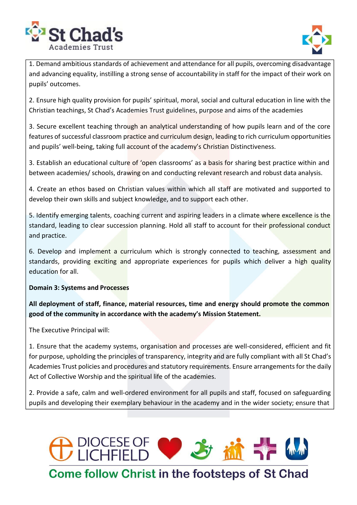



1. Demand ambitious standards of achievement and attendance for all pupils, overcoming disadvantage and advancing equality, instilling a strong sense of accountability in staff for the impact of their work on pupils' outcomes.

2. Ensure high quality provision for pupils' spiritual, moral, social and cultural education in line with the Christian teachings, St Chad's Academies Trust guidelines, purpose and aims of the academies

3. Secure excellent teaching through an analytical understanding of how pupils learn and of the core features of successful classroom practice and curriculum design, leading to rich curriculum opportunities and pupils' well-being, taking full account of the academy's Christian Distinctiveness.

3. Establish an educational culture of 'open classrooms' as a basis for sharing best practice within and between academies/ schools, drawing on and conducting relevant research and robust data analysis.

4. Create an ethos based on Christian values within which all staff are motivated and supported to develop their own skills and subject knowledge, and to support each other.

5. Identify emerging talents, coaching current and aspiring leaders in a climate where excellence is the standard, leading to clear succession planning. Hold all staff to account for their professional conduct and practice.

6. Develop and implement a curriculum which is strongly connected to teaching, assessment and standards, providing exciting and appropriate experiences for pupils which deliver a high quality education for all.

### **Domain 3: Systems and Processes**

**All deployment of staff, finance, material resources, time and energy should promote the common good of the community in accordance with the academy's Mission Statement.**

The Executive Principal will:

1. Ensure that the academy systems, organisation and processes are well-considered, efficient and fit for purpose, upholding the principles of transparency, integrity and are fully compliant with all St Chad's Academies Trust policies and procedures and statutory requirements. Ensure arrangements for the daily Act of Collective Worship and the spiritual life of the academies.

2. Provide a safe, calm and well-ordered environment for all pupils and staff, focused on safeguarding pupils and developing their exemplary behaviour in the academy and in the wider society; ensure that



## **Come follow Christ in the footsteps of St Chad**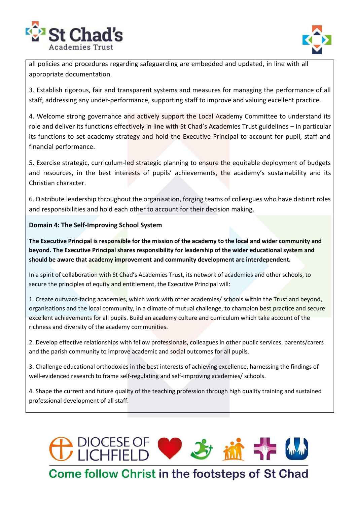



all policies and procedures regarding safeguarding are embedded and updated, in line with all appropriate documentation.

3. Establish rigorous, fair and transparent systems and measures for managing the performance of all staff, addressing any under-performance, supporting staff to improve and valuing excellent practice.

4. Welcome strong governance and actively support the Local Academy Committee to understand its role and deliver its functions effectively in line with St Chad's Academies Trust guidelines – in particular its functions to set academy strategy and hold the Executive Principal to account for pupil, staff and financial performance.

5. Exercise strategic, curriculum-led strategic planning to ensure the equitable deployment of budgets and resources, in the best interests of pupils' achievements, the academy's sustainability and its Christian character.

6. Distribute leadership throughout the organisation, forging teams of colleagues who have distinct roles and responsibilities and hold each other to account for their decision making.

### **Domain 4: The Self-Improving School System**

The Executive Principal is responsible for the mission of the academy to the local and wider community and **beyond. The Executive Principal shares responsibility for leadership of the wider educational system and should be aware that academy improvement and community development are interdependent.**

In a spirit of collaboration with St Chad's Academies Trust, its network of academies and other schools, to secure the principles of equity and entitlement, the Executive Principal will:

1. Create outward-facing academies, which work with other academies/ schools within the Trust and beyond, organisations and the local community, in a climate of mutual challenge, to champion best practice and secure excellent achievements for all pupils. Build an academy culture and curriculum which take account of the richness and diversity of the academy communities.

2. Develop effective relationships with fellow professionals, colleagues in other public services, parents/carers and the parish community to improve academic and social outcomes for all pupils.

3. Challenge educational orthodoxies in the best interests of achieving excellence, harnessing the findings of well-evidenced research to frame self-regulating and self-improving academies/ schools.

4. Shape the current and future quality of the teaching profession through high quality training and sustained professional development of all staff.

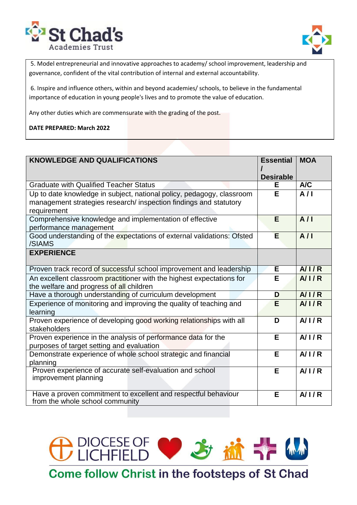



5. Model entrepreneurial and innovative approaches to academy/ school improvement, leadership and governance, confident of the vital contribution of internal and external accountability.

6. Inspire and influence others, within and beyond academies/ schools, to believe in the fundamental importance of education in young people's lives and to promote the value of education.

Any other duties which are commensurate with the grading of the post.

**DATE PREPARED: March 2022**

| <b>KNOWLEDGE AND QUALIFICATIONS</b>                                                                                                                       | <b>Essential</b> | <b>MOA</b> |
|-----------------------------------------------------------------------------------------------------------------------------------------------------------|------------------|------------|
|                                                                                                                                                           | <b>Desirable</b> |            |
| <b>Graduate with Qualified Teacher Status</b>                                                                                                             | Е                | A/C        |
| Up to date knowledge in subject, national policy, pedagogy, classroom<br>management strategies research/ inspection findings and statutory<br>requirement | E                | A/I        |
| Comprehensive knowledge and implementation of effective                                                                                                   | E                | A/I        |
| performance management                                                                                                                                    |                  |            |
| Good understanding of the expectations of external validations: Ofsted<br>/SIAMS                                                                          | E                | A/I        |
| <b>EXPERIENCE</b>                                                                                                                                         |                  |            |
| Proven track record of successful school improvement and leadership                                                                                       | E.               | A/IR       |
| An excellent classroom practitioner with the highest expectations for                                                                                     | E                | A/IR       |
| the welfare and progress of all children                                                                                                                  |                  |            |
| Have a thorough understanding of curriculum development                                                                                                   | D                | A/1/R      |
| Experience of monitoring and improving the quality of teaching and<br>learning                                                                            | E                | A/1/R      |
| Proven experience of developing good working relationships with all<br>stakeholders                                                                       | D                | A/1/R      |
| Proven experience in the analysis of performance data for the<br>purposes of target setting and evaluation                                                | Е                | A/1/R      |
| Demonstrate experience of whole school strategic and financial<br>planning                                                                                | Е                | A/1/R      |
| Proven experience of accurate self-evaluation and school<br>improvement planning                                                                          | E                | A/1/R      |
| Have a proven commitment to excellent and respectful behaviour<br>from the whole school community                                                         | Е                | A/1/R      |